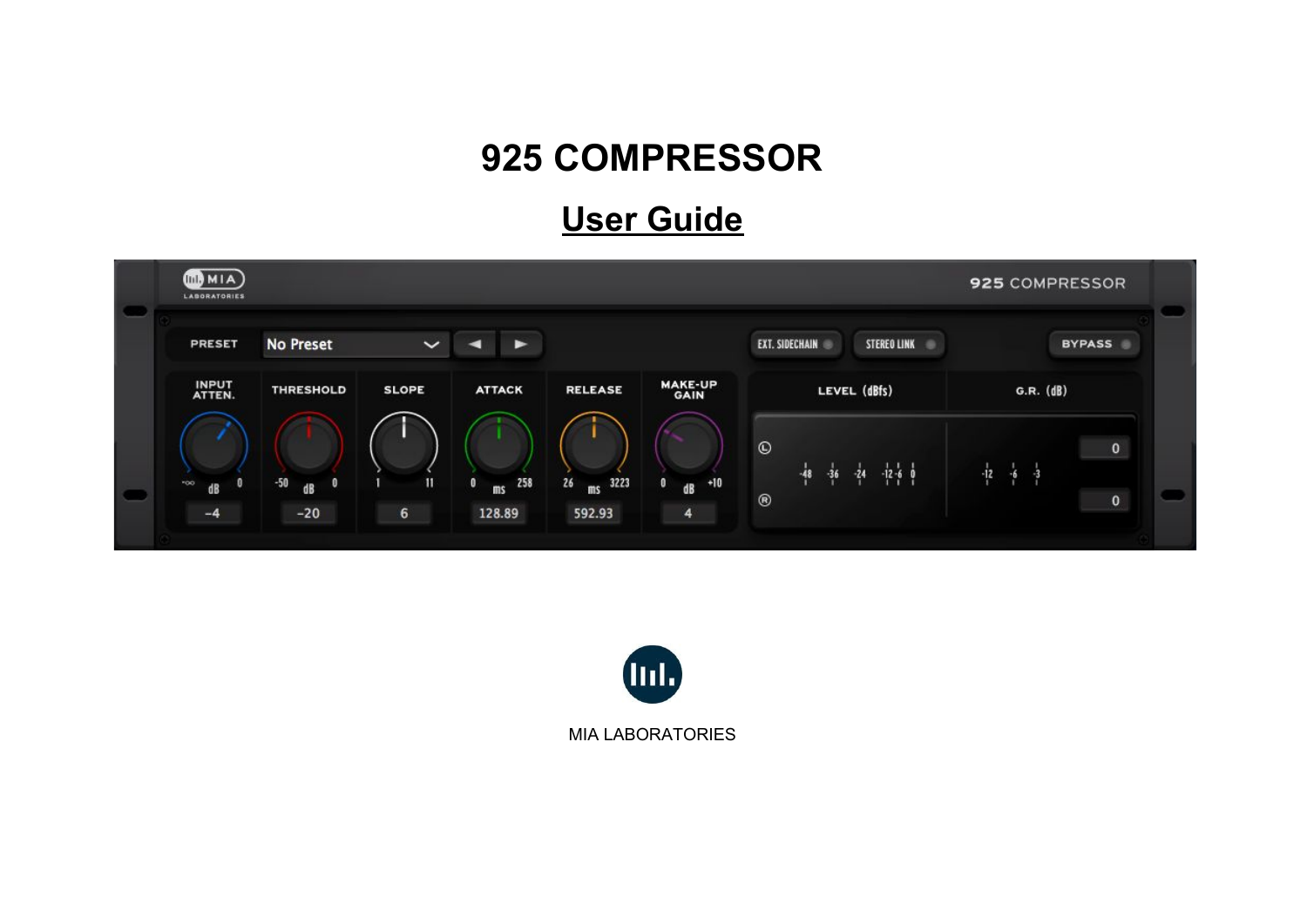# **925 COMPRESSOR**

## **User Guide**



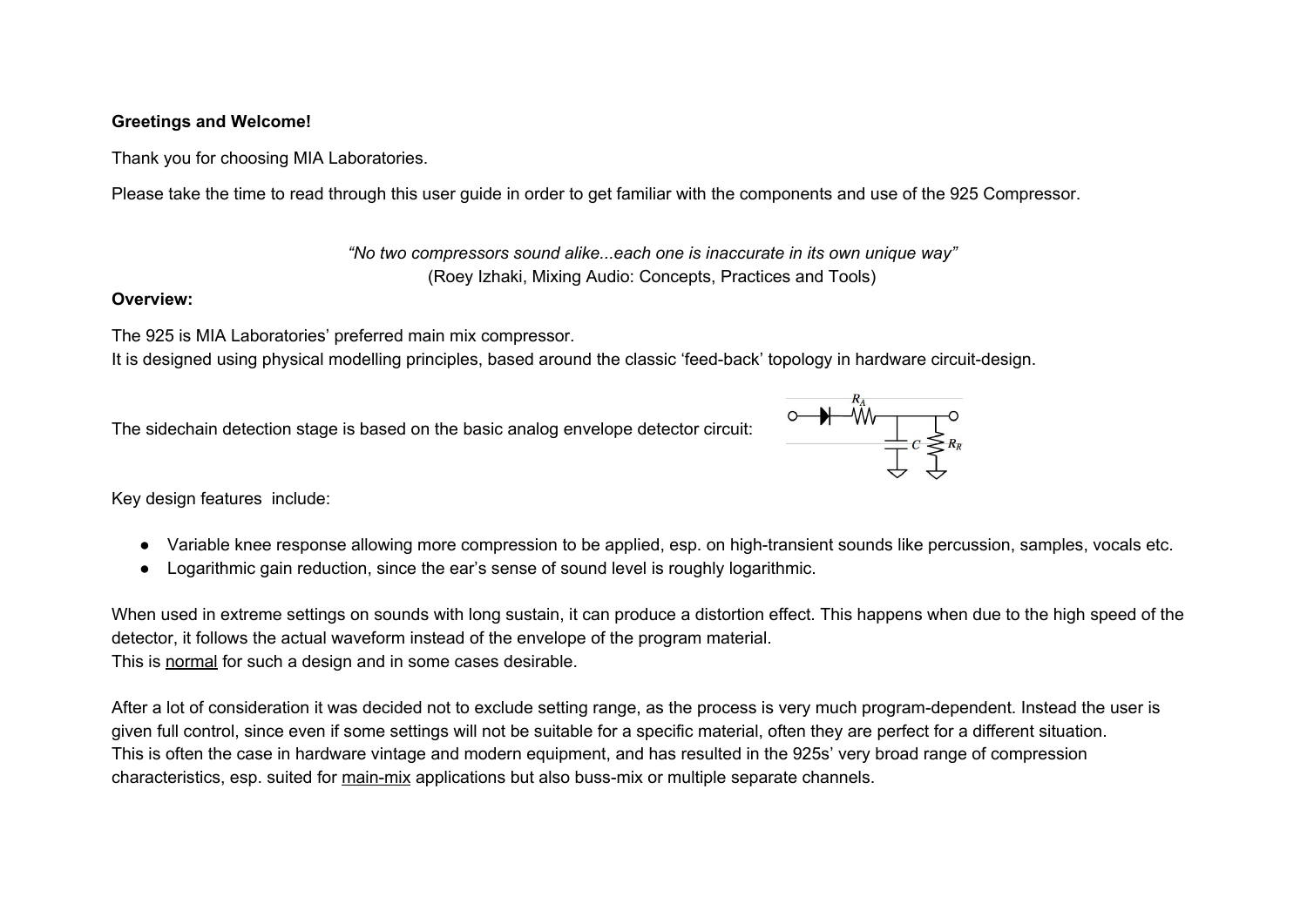#### **Greetings and Welcome!**

Thank you for choosing MIA Laboratories.

Please take the time to read through this user guide in order to get familiar with the components and use of the 925 Compressor.

*"No two compressors sound alike...each one is inaccurate in its own unique way"* (Roey Izhaki, Mixing Audio: Concepts, Practices and Tools)

#### **Overview:**

The 925 is MIA Laboratories' preferred main mix compressor.

It is designed using physical modelling principles, based around the classic 'feed-back' topology in hardware circuit-design.

The sidechain detection stage is based on the basic analog envelope detector circuit:



Key design features include:

- Variable knee response allowing more compression to be applied, esp. on high-transient sounds like percussion, samples, vocals etc.
- Logarithmic gain reduction, since the ear's sense of sound level is roughly logarithmic.

When used in extreme settings on sounds with long sustain, it can produce a distortion effect. This happens when due to the high speed of the detector, it follows the actual waveform instead of the envelope of the program material. This is normal for such a design and in some cases desirable.

After a lot of consideration it was decided not to exclude setting range, as the process is very much program-dependent. Instead the user is given full control, since even if some settings will not be suitable for a specific material, often they are perfect for a different situation. This is often the case in hardware vintage and modern equipment, and has resulted in the 925s' very broad range of compression characteristics, esp. suited for main-mix applications but also buss-mix or multiple separate channels.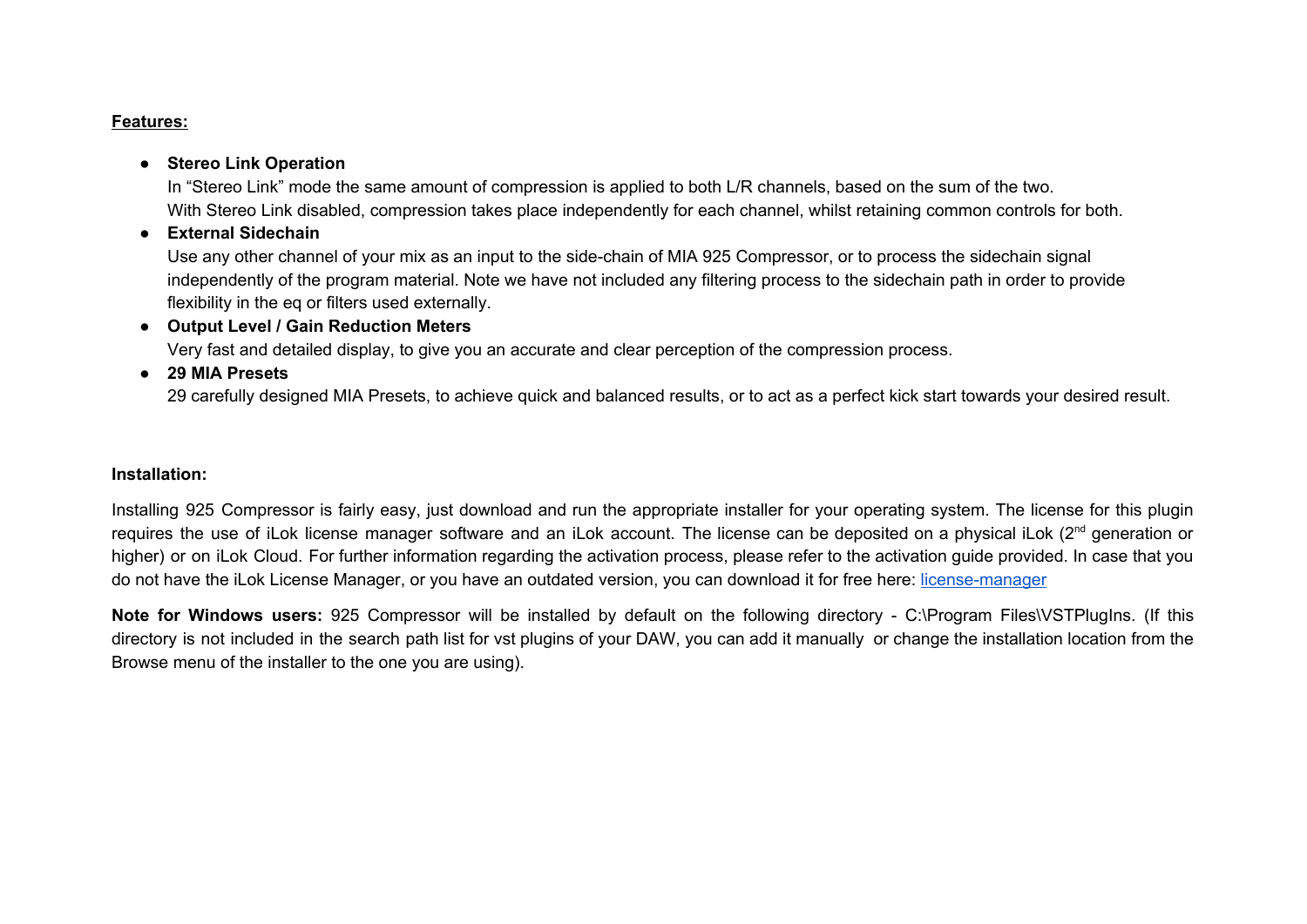#### **Features:**

#### ● **Stereo Link Operation**

In "Stereo Link" mode the same amount of compression is applied to both L/R channels, based on the sum of the two. With Stereo Link disabled, compression takes place independently for each channel, whilst retaining common controls for both.

● **External Sidechain**

Use any other channel of your mix as an input to the side-chain of MIA 925 Compressor, or to process the sidechain signal independently of the program material. Note we have not included any filtering process to the sidechain path in order to provide flexibility in the eq or filters used externally.

● **Output Level / Gain Reduction Meters**

Very fast and detailed display, to give you an accurate and clear perception of the compression process.

● **29 MIA Presets**

29 carefully designed MIA Presets, to achieve quick and balanced results, or to act as a perfect kick start towards your desired result.

#### **Installation:**

Installing 925 Compressor is fairly easy, just download and run the appropriate installer for your operating system. The license for this plugin requires the use of iLok license manager software and an iLok account. The license can be deposited on a physical iLok (2<sup>nd</sup> generation or higher) or on iLok Cloud. For further information regarding the activation process, please refer to the activation guide provided. In case that you do not have the iLok License Manager, or you have an outdated version, you can download it for free here: [license-manager](https://www.ilok.com/#!license-manager)

**Note for Windows users:** 925 Compressor will be installed by default on the following directory - C:\Program Files\VSTPlugIns. (If this directory is not included in the search path list for vst plugins of your DAW, you can add it manually or change the installation location from the Browse menu of the installer to the one you are using).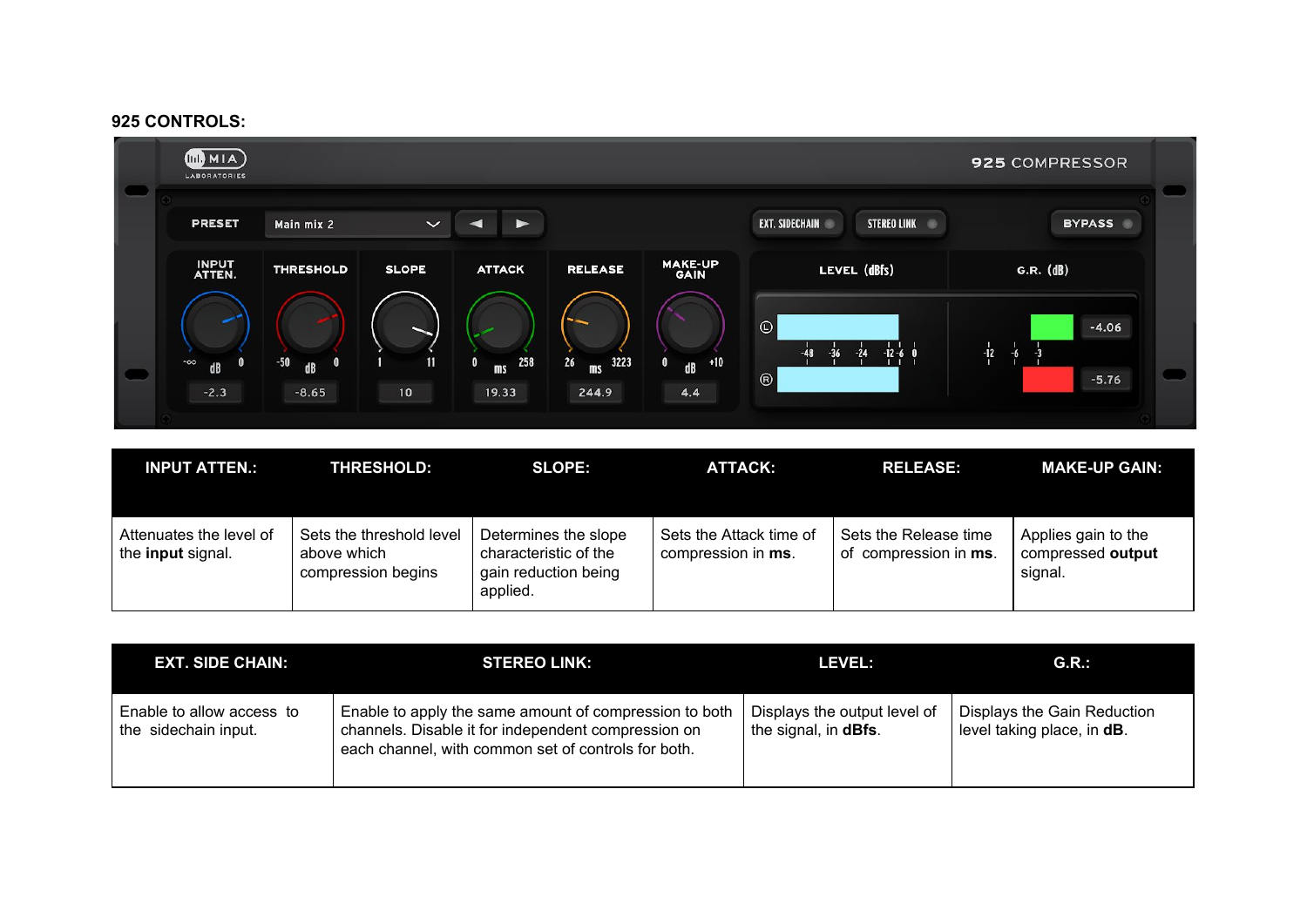#### **925 CONTROLS:**



| <b>INPUT ATTEN.:</b>                                | <b>THRESHOLD:</b>                                             | <b>SLOPE:</b>                                                                     | ATTACK:                                       | <b>RELEASE:</b>                                | <b>MAKE-UP GAIN:</b>                                |
|-----------------------------------------------------|---------------------------------------------------------------|-----------------------------------------------------------------------------------|-----------------------------------------------|------------------------------------------------|-----------------------------------------------------|
| Attenuates the level of<br>the <b>input</b> signal. | Sets the threshold level<br>above which<br>compression begins | Determines the slope<br>characteristic of the<br>gain reduction being<br>applied. | Sets the Attack time of<br>compression in ms. | Sets the Release time<br>of compression in ms. | Applies gain to the<br>compressed output<br>signal. |

| <b>EXT. SIDE CHAIN:</b>                           | <b>STEREO LINK:</b>                                                                                                                                                  | <b>LEVEL:</b>                                                | G.R.                                                      |
|---------------------------------------------------|----------------------------------------------------------------------------------------------------------------------------------------------------------------------|--------------------------------------------------------------|-----------------------------------------------------------|
| Enable to allow access to<br>the sidechain input. | Enable to apply the same amount of compression to both<br>channels. Disable it for independent compression on<br>each channel, with common set of controls for both. | Displays the output level of<br>the signal, in <b>dBfs</b> . | Displays the Gain Reduction<br>level taking place, in dB. |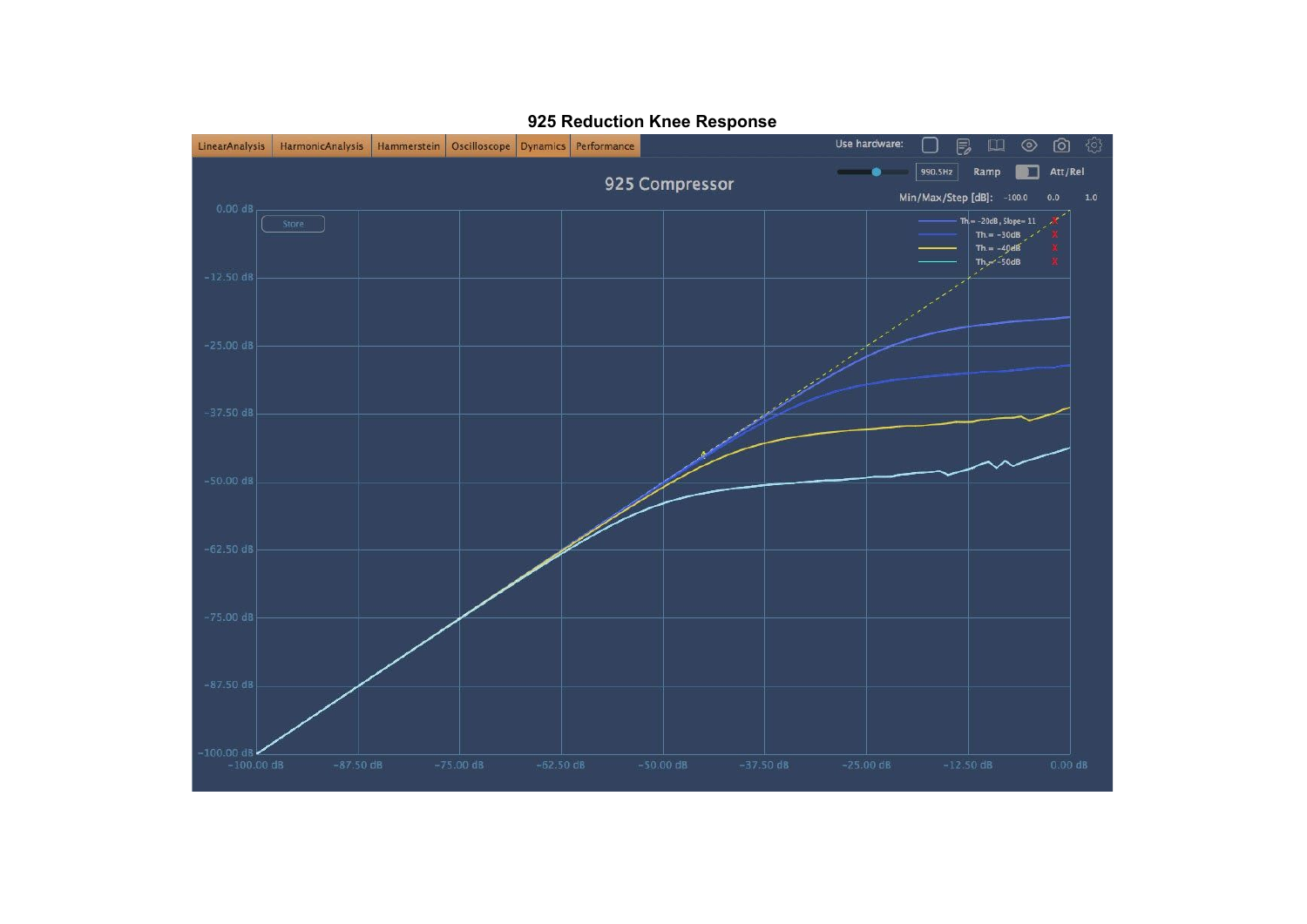

#### **Reduction Knee Response**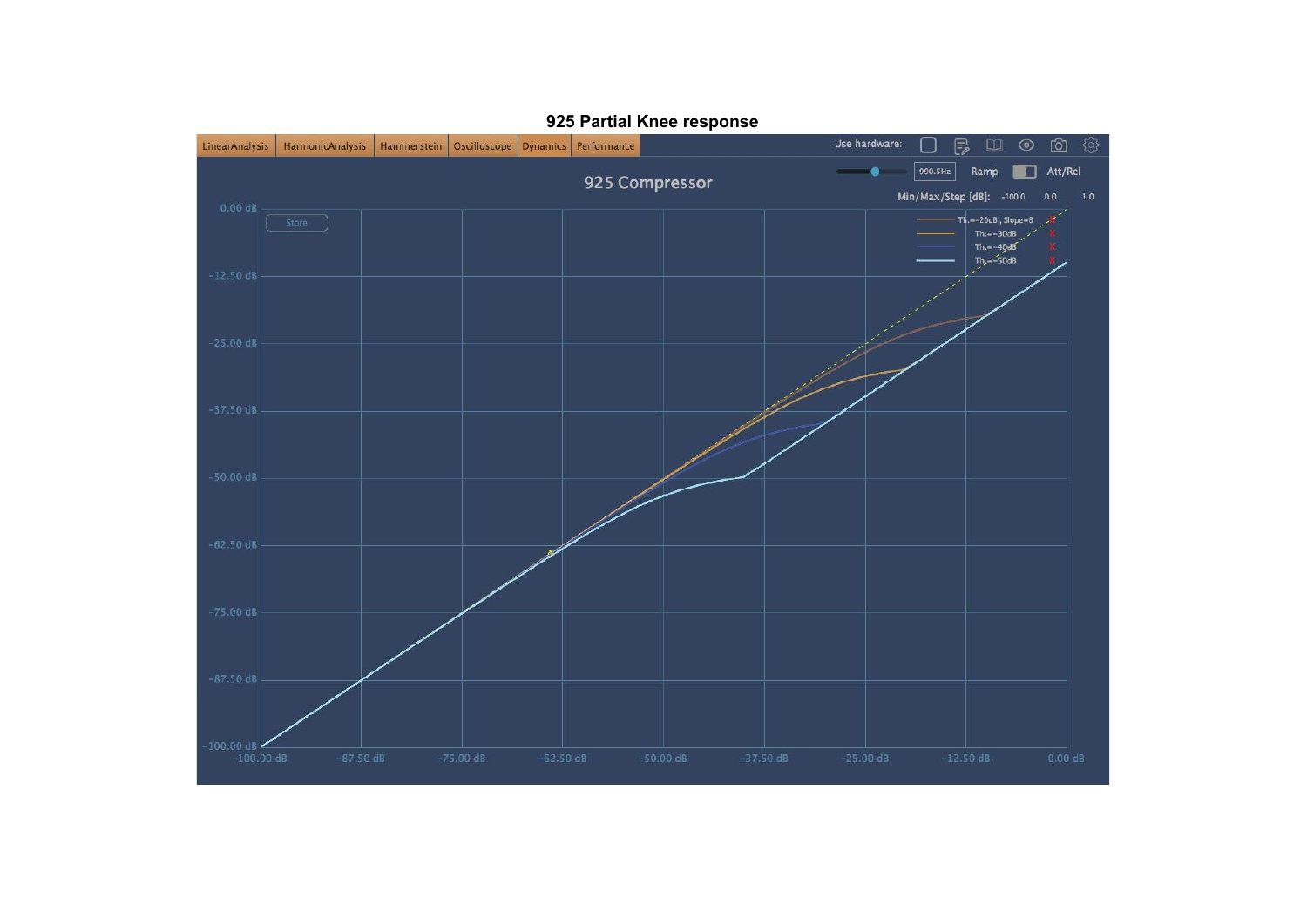

#### **Partial Knee response**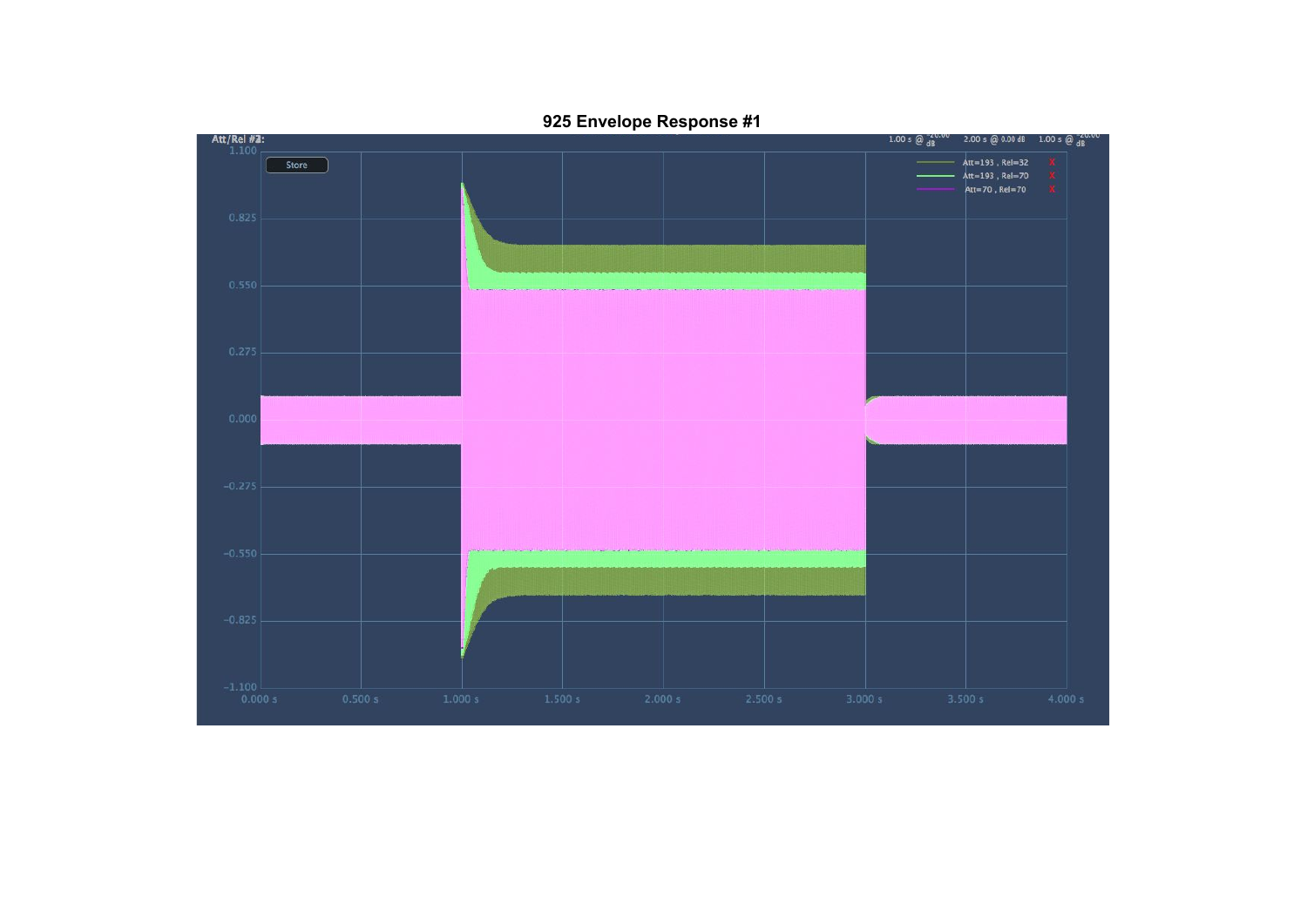

**Envelope Response #1**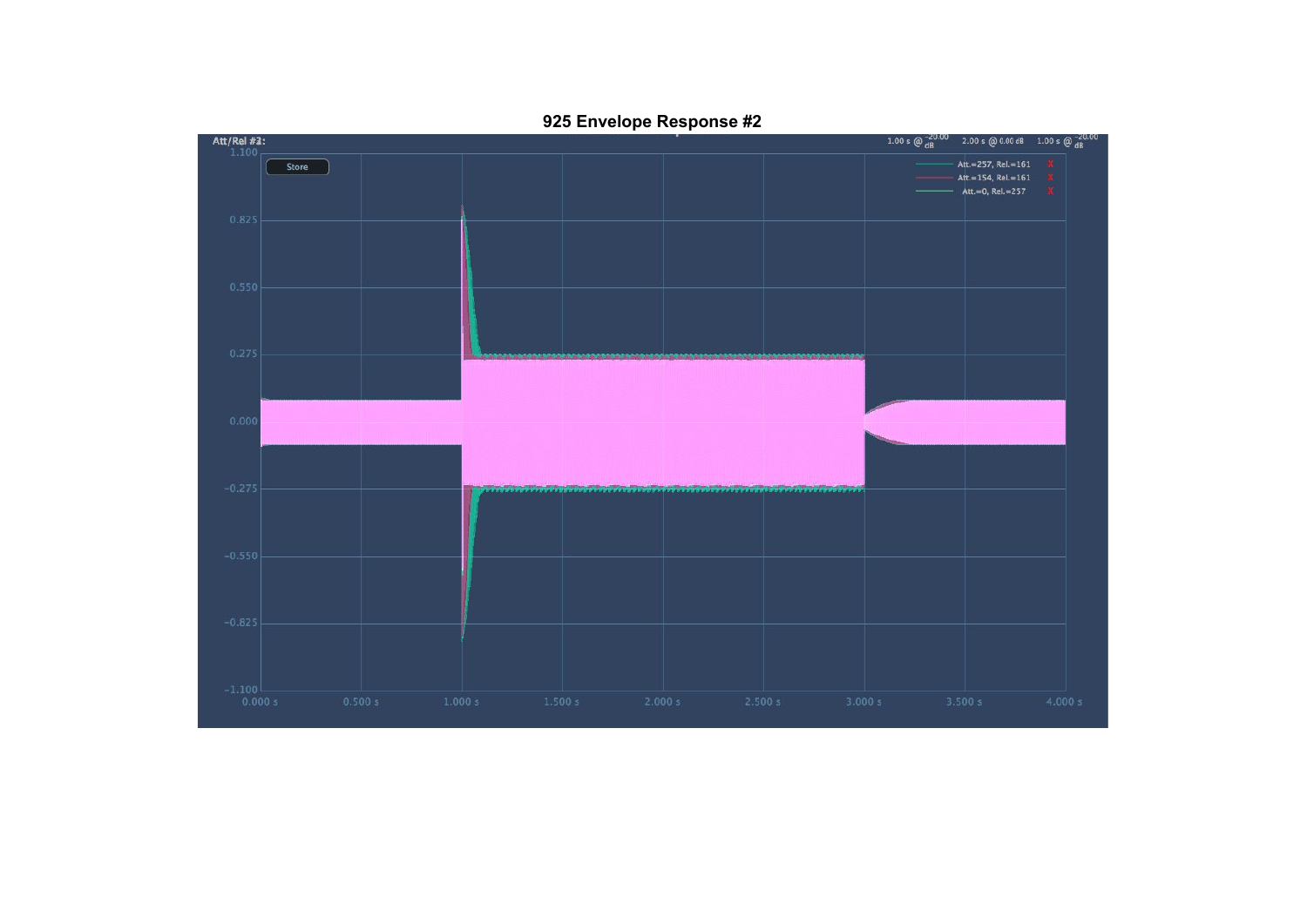

**Envelope Response #2**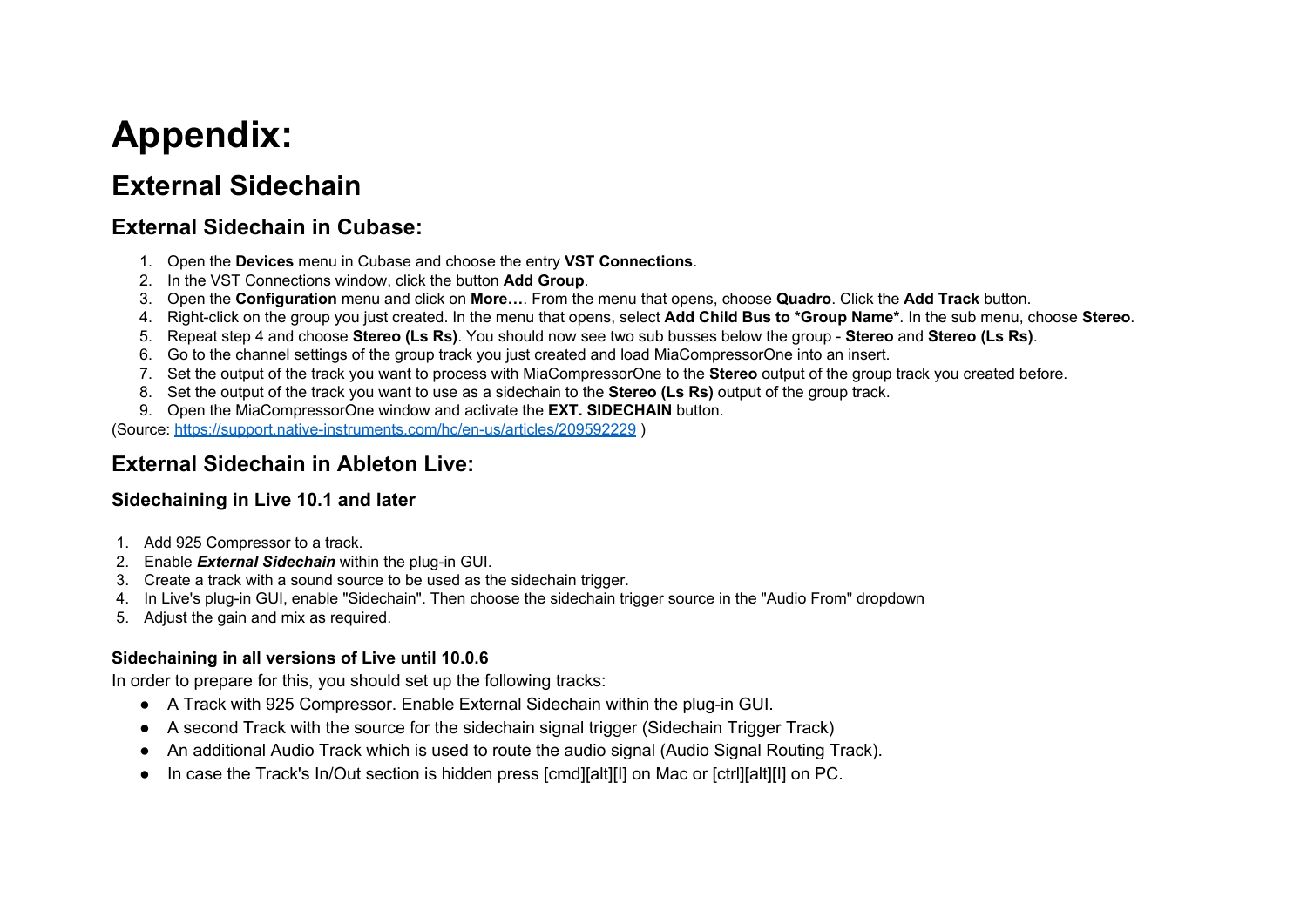# **Appendix:**

## **External Sidechain**

## **External Sidechain in Cubase:**

- 1. Open the **Devices** menu in Cubase and choose the entry **VST Connections**.
- 2. In the VST Connections window, click the button **Add Group**.
- 3. Open the **Configuration** menu and click on **More…**. From the menu that opens, choose **Quadro**. Click the **Add Track** button.
- 4. Right-click on the group you just created. In the menu that opens, select **Add Child Bus to \*Group Name\***. In the sub menu, choose **Stereo**.
- 5. Repeat step 4 and choose **Stereo (Ls Rs)**. You should now see two sub busses below the group **Stereo** and **Stereo (Ls Rs)**.
- 6. Go to the channel settings of the group track you just created and load MiaCompressorOne into an insert.
- 7. Set the output of the track you want to process with MiaCompressorOne to the **Stereo** output of the group track you created before.
- 8. Set the output of the track you want to use as a sidechain to the **Stereo (Ls Rs)** output of the group track.
- 9. Open the MiaCompressorOne window and activate the **EXT. SIDECHAIN** button.

(Source: <https://support.native-instruments.com/hc/en-us/articles/209592229> )

## **External Sidechain in Ableton Live:**

### **Sidechaining in Live 10.1 and later**

- 1. Add 925 Compressor to a track.
- 2. Enable *External Sidechain* within the plug-in GUI.
- 3. Create a track with a sound source to be used as the sidechain trigger.
- 4. In Live's plug-in GUI, enable "Sidechain". Then choose the sidechain trigger source in the "Audio From" dropdown
- 5. Adjust the gain and mix as required.

### **Sidechaining in all versions of Live until 10.0.6**

In order to prepare for this, you should set up the following tracks:

- A Track with 925 Compressor. Enable External Sidechain within the plug-in GUI.
- A second Track with the source for the sidechain signal trigger (Sidechain Trigger Track)
- An additional Audio Track which is used to route the audio signal (Audio Signal Routing Track).
- In case the Track's In/Out section is hidden press [cmd][alt][I] on Mac or [ctrl][alt][I] on PC.